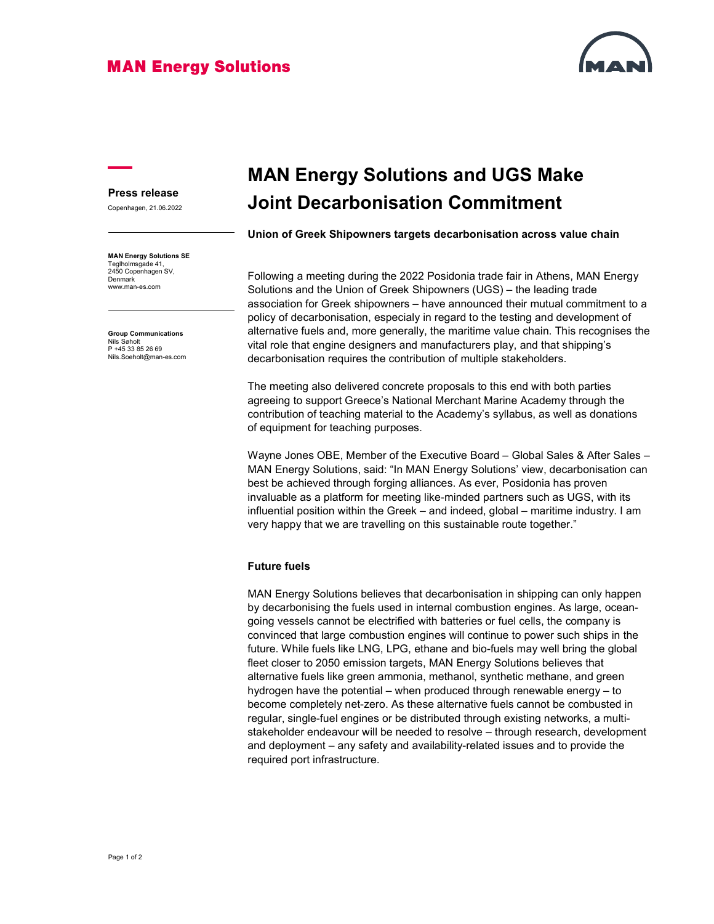### **MAN Energy Solutions**



#### Press release

Copenhagen, 21.06.2022

MAN Energy Solutions SE Teglholmsgade 41, 2450 Copenhagen SV, Denmark www.man-es.com

Group Communications Nils Søholt<br>P +45 33 85 26 69 Nils.Soeholt@man-es.com

# MAN Energy Solutions and UGS Make Joint Decarbonisation Commitment

Union of Greek Shipowners targets decarbonisation across value chain

Following a meeting during the 2022 Posidonia trade fair in Athens, MAN Energy Solutions and the Union of Greek Shipowners (UGS) – the leading trade association for Greek shipowners – have announced their mutual commitment to a policy of decarbonisation, especialy in regard to the testing and development of alternative fuels and, more generally, the maritime value chain. This recognises the vital role that engine designers and manufacturers play, and that shipping's decarbonisation requires the contribution of multiple stakeholders.

The meeting also delivered concrete proposals to this end with both parties agreeing to support Greece's National Merchant Marine Academy through the contribution of teaching material to the Academy's syllabus, as well as donations of equipment for teaching purposes.

Wayne Jones OBE, Member of the Executive Board – Global Sales & After Sales – MAN Energy Solutions, said: "In MAN Energy Solutions' view, decarbonisation can best be achieved through forging alliances. As ever, Posidonia has proven invaluable as a platform for meeting like-minded partners such as UGS, with its influential position within the Greek – and indeed, global – maritime industry. I am very happy that we are travelling on this sustainable route together."

#### Future fuels

MAN Energy Solutions believes that decarbonisation in shipping can only happen by decarbonising the fuels used in internal combustion engines. As large, oceangoing vessels cannot be electrified with batteries or fuel cells, the company is convinced that large combustion engines will continue to power such ships in the future. While fuels like LNG, LPG, ethane and bio-fuels may well bring the global fleet closer to 2050 emission targets, MAN Energy Solutions believes that alternative fuels like green ammonia, methanol, synthetic methane, and green hydrogen have the potential – when produced through renewable energy – to become completely net-zero. As these alternative fuels cannot be combusted in regular, single-fuel engines or be distributed through existing networks, a multistakeholder endeavour will be needed to resolve – through research, development and deployment – any safety and availability-related issues and to provide the required port infrastructure.